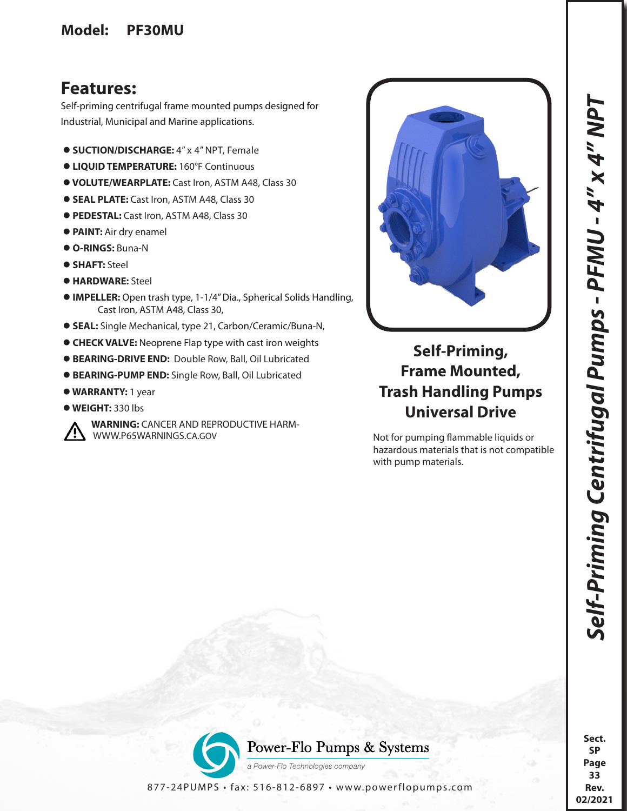## **Model: PF30MU**

## **Features:**

Self-priming centrifugal frame mounted pumps designed for Industrial, Municipal and Marine applications.

- **SUCTION/DISCHARGE:** 4" x 4" NPT, Female
- **LIQUID TEMPERATURE:** 160°F Continuous
- **VOLUTE/WEARPLATE:** Cast Iron, ASTM A48, Class 30
- **SEAL PLATE:** Cast Iron, ASTM A48, Class 30
- **PEDESTAL:** Cast Iron, ASTM A48, Class 30
- **PAINT:** Air dry enamel
- **O-RINGS:** Buna-N
- **SHAFT:** Steel
- **HARDWARE:** Steel
- **IMPELLER:** Open trash type, 1-1/4" Dia., Spherical Solids Handling, Cast Iron, ASTM A48, Class 30,
- **SEAL:** Single Mechanical, type 21, Carbon/Ceramic/Buna-N,
- **CHECK VALVE:** Neoprene Flap type with cast iron weights
- **BEARING-DRIVE END:** Double Row, Ball, Oil Lubricated
- **BEARING-PUMP END:** Single Row, Ball, Oil Lubricated
- **WARRANTY:** 1 year
- **WEIGHT:** 330 lbs



**WARNING: CANCER AND REPRODUCTIVE HARM-<br>WWW.P65WARNINGS.CA.GOV** 



## **Self-Priming, Frame Mounted, Trash Handling Pumps Universal Drive**

Not for pumping flammable liquids or hazardous materials that is not compatible with pump materials.



877-24PUMPS • fax: 516-812-6897 • www.powerflopumps.com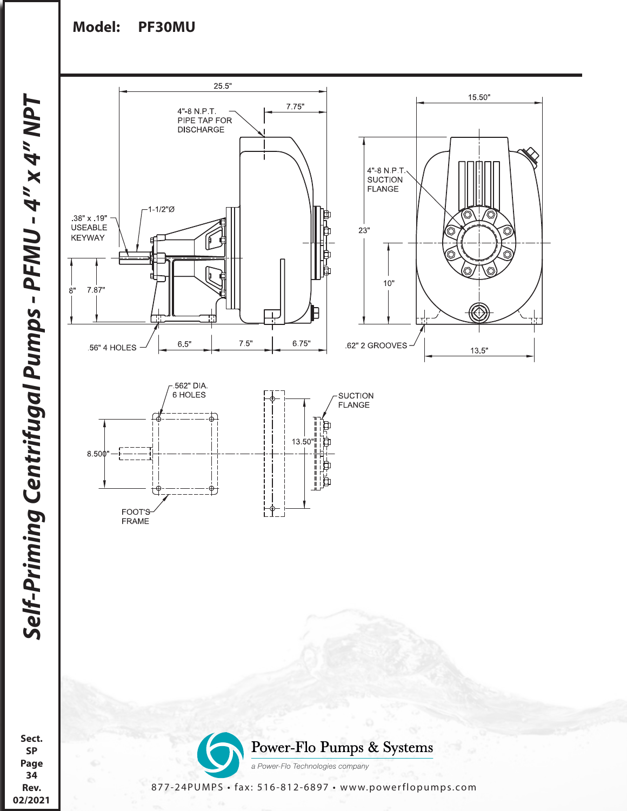## **Model: PF30MU**







**Sect. SP Page 34 Rev. 02/2021**